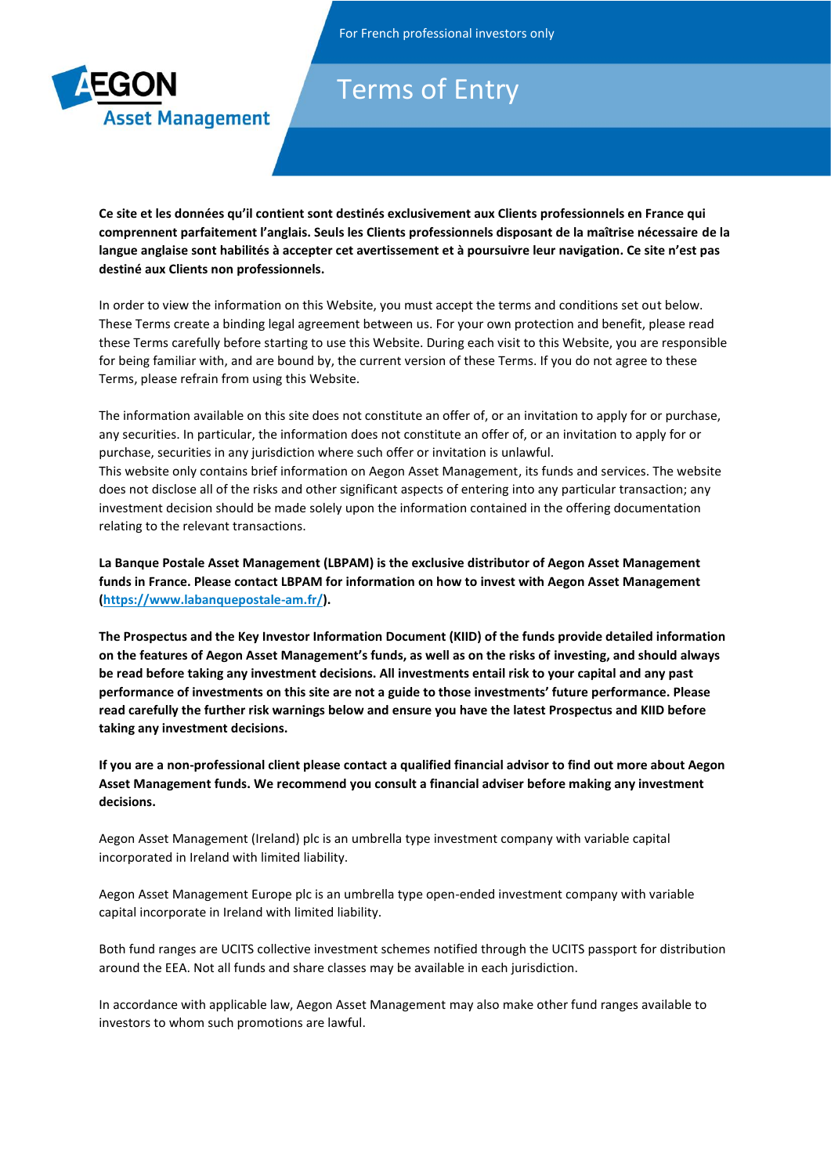

## Terms of Entry

**Ce site et les données qu'il contient sont destinés exclusivement aux Clients professionnels en France qui comprennent parfaitement l'anglais. Seuls les Clients professionnels disposant de la maîtrise nécessaire de la langue anglaise sont habilités à accepter cet avertissement et à poursuivre leur navigation. Ce site n'est pas destiné aux Clients non professionnels.**

In order to view the information on this Website, you must accept the terms and conditions set out below. These Terms create a binding legal agreement between us. For your own protection and benefit, please read these Terms carefully before starting to use this Website. During each visit to this Website, you are responsible for being familiar with, and are bound by, the current version of these Terms. If you do not agree to these Terms, please refrain from using this Website.

The information available on this site does not constitute an offer of, or an invitation to apply for or purchase, any securities. In particular, the information does not constitute an offer of, or an invitation to apply for or purchase, securities in any jurisdiction where such offer or invitation is unlawful. This website only contains brief information on Aegon Asset Management, its funds and services. The website does not disclose all of the risks and other significant aspects of entering into any particular transaction; any investment decision should be made solely upon the information contained in the offering documentation relating to the relevant transactions.

**La Banque Postale Asset Management (LBPAM) is the exclusive distributor of Aegon Asset Management funds in France. Please contact LBPAM for information on how to invest with Aegon Asset Management [\(https://www.labanquepostale-am.fr/\)](https://www.labanquepostale-am.fr/).** 

**The Prospectus and the Key Investor Information Document (KIID) of the funds provide detailed information on the features of Aegon Asset Management's funds, as well as on the risks of investing, and should always be read before taking any investment decisions. All investments entail risk to your capital and any past performance of investments on this site are not a guide to those investments' future performance. Please read carefully the further risk warnings below and ensure you have the latest Prospectus and KIID before taking any investment decisions.** 

**If you are a non-professional client please contact a qualified financial advisor to find out more about Aegon Asset Management funds. We recommend you consult a financial adviser before making any investment decisions.** 

Aegon Asset Management (Ireland) plc is an umbrella type investment company with variable capital incorporated in Ireland with limited liability.

Aegon Asset Management Europe plc is an umbrella type open-ended investment company with variable capital incorporate in Ireland with limited liability.

Both fund ranges are UCITS collective investment schemes notified through the UCITS passport for distribution around the EEA. Not all funds and share classes may be available in each jurisdiction.

In accordance with applicable law, Aegon Asset Management may also make other fund ranges available to investors to whom such promotions are lawful.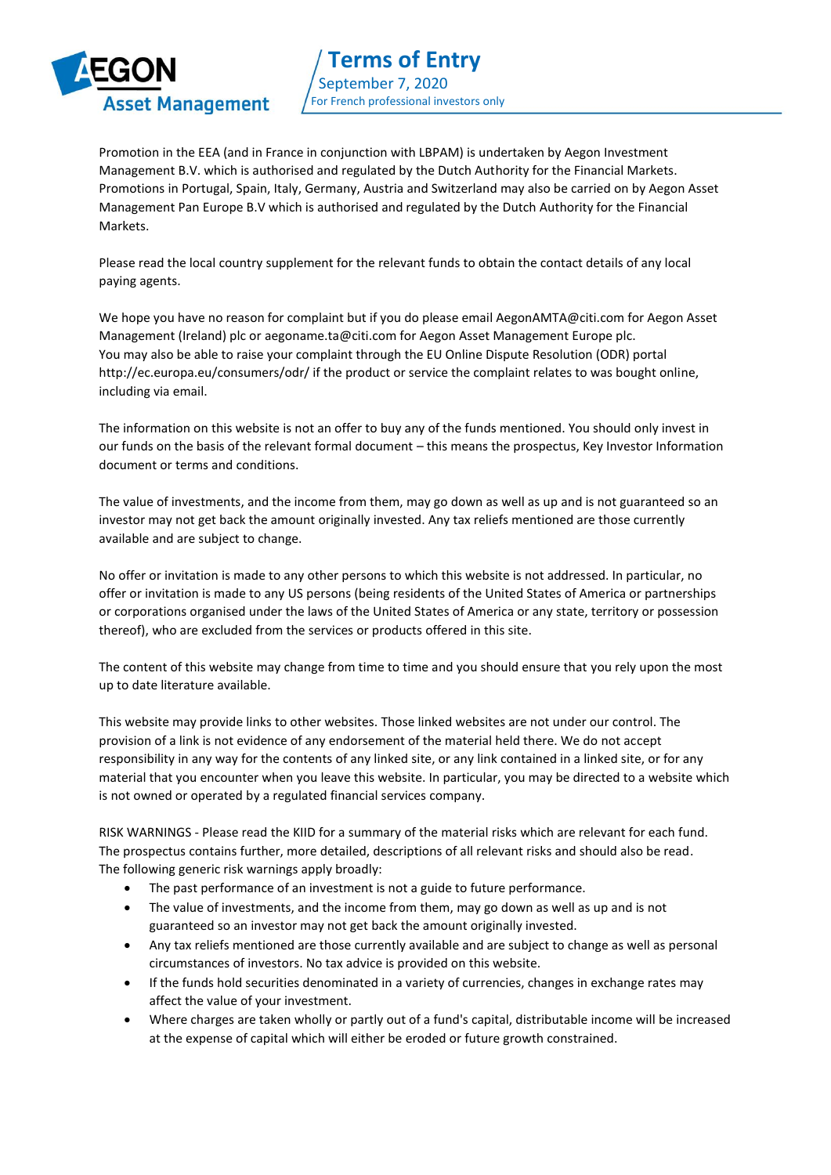

Promotion in the EEA (and in France in conjunction with LBPAM) is undertaken by Aegon Investment Management B.V. which is authorised and regulated by the Dutch Authority for the Financial Markets. Promotions in Portugal, Spain, Italy, Germany, Austria and Switzerland may also be carried on by Aegon Asset Management Pan Europe B.V which is authorised and regulated by the Dutch Authority for the Financial Markets.

Please read the local country supplement for the relevant funds to obtain the contact details of any local paying agents.

We hope you have no reason for complaint but if you do please email AegonAMTA@citi.com for Aegon Asset Management (Ireland) plc or aegoname.ta@citi.com for Aegon Asset Management Europe plc. You may also be able to raise your complaint through the EU Online Dispute Resolution (ODR) portal http://ec.europa.eu/consumers/odr/ if the product or service the complaint relates to was bought online, including via email.

The information on this website is not an offer to buy any of the funds mentioned. You should only invest in our funds on the basis of the relevant formal document – this means the prospectus, Key Investor Information document or terms and conditions.

The value of investments, and the income from them, may go down as well as up and is not guaranteed so an investor may not get back the amount originally invested. Any tax reliefs mentioned are those currently available and are subject to change.

No offer or invitation is made to any other persons to which this website is not addressed. In particular, no offer or invitation is made to any US persons (being residents of the United States of America or partnerships or corporations organised under the laws of the United States of America or any state, territory or possession thereof), who are excluded from the services or products offered in this site.

The content of this website may change from time to time and you should ensure that you rely upon the most up to date literature available.

This website may provide links to other websites. Those linked websites are not under our control. The provision of a link is not evidence of any endorsement of the material held there. We do not accept responsibility in any way for the contents of any linked site, or any link contained in a linked site, or for any material that you encounter when you leave this website. In particular, you may be directed to a website which is not owned or operated by a regulated financial services company.

RISK WARNINGS - Please read the KIID for a summary of the material risks which are relevant for each fund. The prospectus contains further, more detailed, descriptions of all relevant risks and should also be read. The following generic risk warnings apply broadly:

- The past performance of an investment is not a guide to future performance.
- The value of investments, and the income from them, may go down as well as up and is not guaranteed so an investor may not get back the amount originally invested.
- Any tax reliefs mentioned are those currently available and are subject to change as well as personal circumstances of investors. No tax advice is provided on this website.
- If the funds hold securities denominated in a variety of currencies, changes in exchange rates may affect the value of your investment.
- Where charges are taken wholly or partly out of a fund's capital, distributable income will be increased at the expense of capital which will either be eroded or future growth constrained.